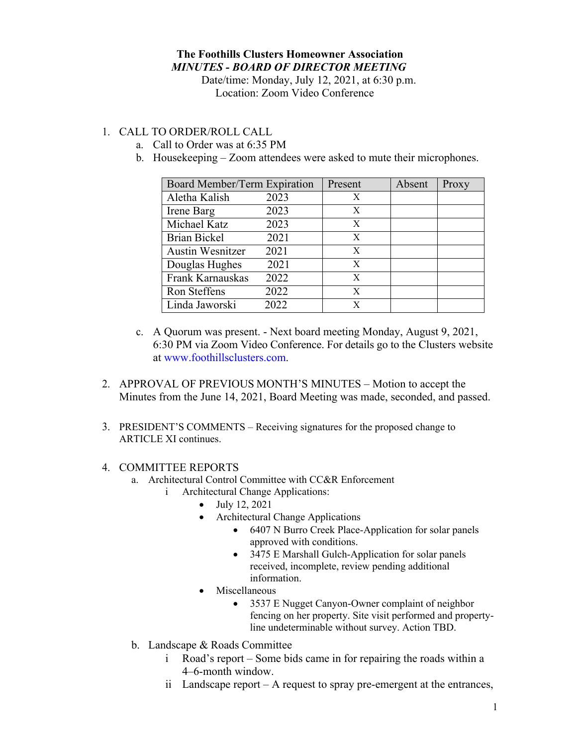## **The Foothills Clusters Homeowner Association** *MINUTES - BOARD OF DIRECTOR MEETING*

Date/time: Monday, July 12, 2021, at 6:30 p.m. Location: Zoom Video Conference

## 1. CALL TO ORDER/ROLL CALL

- a. Call to Order was at 6:35 PM
- b. Housekeeping Zoom attendees were asked to mute their microphones.

| Board Member/Term Expiration |      | Present | Absent | Proxy |
|------------------------------|------|---------|--------|-------|
| Aletha Kalish                | 2023 | X       |        |       |
| Irene Barg                   | 2023 | X       |        |       |
| Michael Katz                 | 2023 | X       |        |       |
| <b>Brian Bickel</b>          | 2021 | X       |        |       |
| <b>Austin Wesnitzer</b>      | 2021 | X       |        |       |
| Douglas Hughes               | 2021 | X       |        |       |
| Frank Karnauskas             | 2022 | X       |        |       |
| Ron Steffens                 | 2022 | X       |        |       |
| Linda Jaworski               | 2022 | X       |        |       |

- c. A Quorum was present. Next board meeting Monday, August 9, 2021, 6:30 PM via Zoom Video Conference. For details go to the Clusters website at www.foothillsclusters.com.
- 2. APPROVAL OF PREVIOUS MONTH'S MINUTES Motion to accept the Minutes from the June 14, 2021, Board Meeting was made, seconded, and passed.
- 3. PRESIDENT'S COMMENTS Receiving signatures for the proposed change to ARTICLE XI continues.

## 4. COMMITTEE REPORTS

- a. Architectural Control Committee with CC&R Enforcement
	- i Architectural Change Applications:
		- July 12, 2021
		- Architectural Change Applications
			- 6407 N Burro Creek Place-Application for solar panels approved with conditions.
			- 3475 E Marshall Gulch-Application for solar panels received, incomplete, review pending additional information.
		- Miscellaneous
			- 3537 E Nugget Canyon-Owner complaint of neighbor fencing on her property. Site visit performed and propertyline undeterminable without survey. Action TBD.
- b. Landscape & Roads Committee
	- i Road's report Some bids came in for repairing the roads within a 4–6-month window.
	- ii Landscape report A request to spray pre-emergent at the entrances,